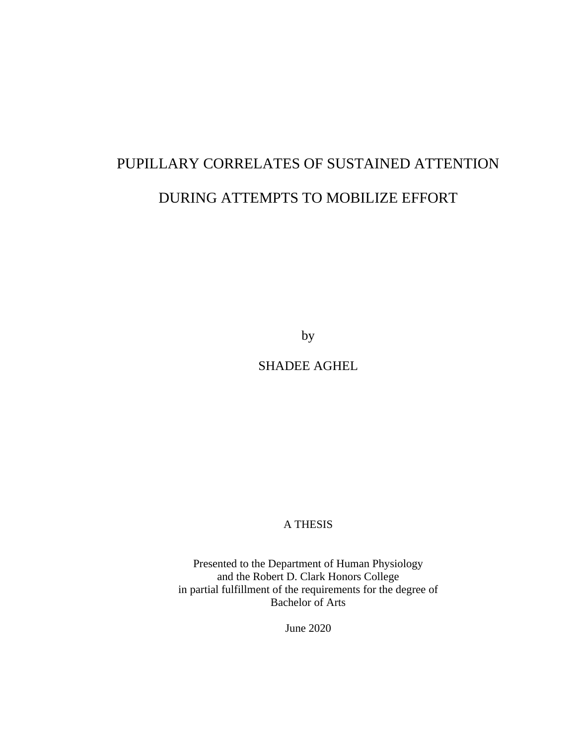# PUPILLARY CORRELATES OF SUSTAINED ATTENTION DURING ATTEMPTS TO MOBILIZE EFFORT

by

SHADEE AGHEL

# A THESIS

Presented to the Department of Human Physiology and the Robert D. Clark Honors College in partial fulfillment of the requirements for the degree of Bachelor of Arts

June 2020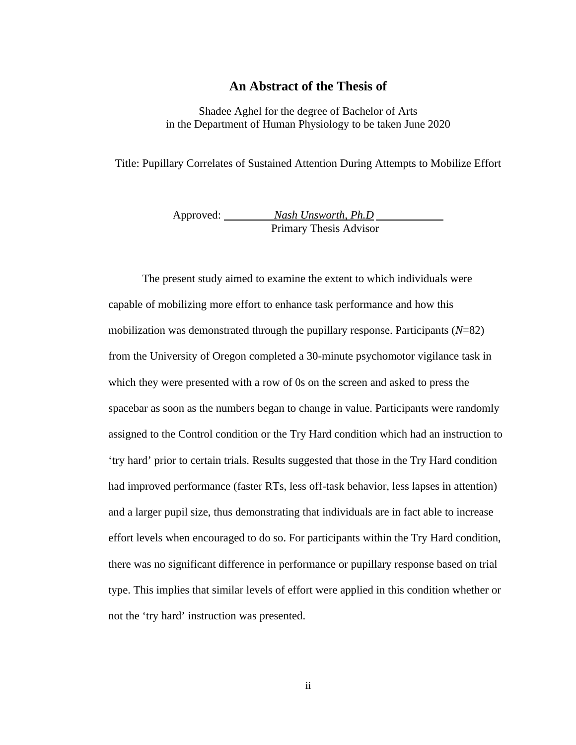# **An Abstract of the Thesis of**

Shadee Aghel for the degree of Bachelor of Arts in the Department of Human Physiology to be taken June 2020

Title: Pupillary Correlates of Sustained Attention During Attempts to Mobilize Effort

Approved: *Nash Unsworth, Ph.D*  Primary Thesis Advisor

The present study aimed to examine the extent to which individuals were capable of mobilizing more effort to enhance task performance and how this mobilization was demonstrated through the pupillary response. Participants (*N*=82) from the University of Oregon completed a 30-minute psychomotor vigilance task in which they were presented with a row of 0s on the screen and asked to press the spacebar as soon as the numbers began to change in value. Participants were randomly assigned to the Control condition or the Try Hard condition which had an instruction to 'try hard' prior to certain trials. Results suggested that those in the Try Hard condition had improved performance (faster RTs, less off-task behavior, less lapses in attention) and a larger pupil size, thus demonstrating that individuals are in fact able to increase effort levels when encouraged to do so. For participants within the Try Hard condition, there was no significant difference in performance or pupillary response based on trial type. This implies that similar levels of effort were applied in this condition whether or not the 'try hard' instruction was presented.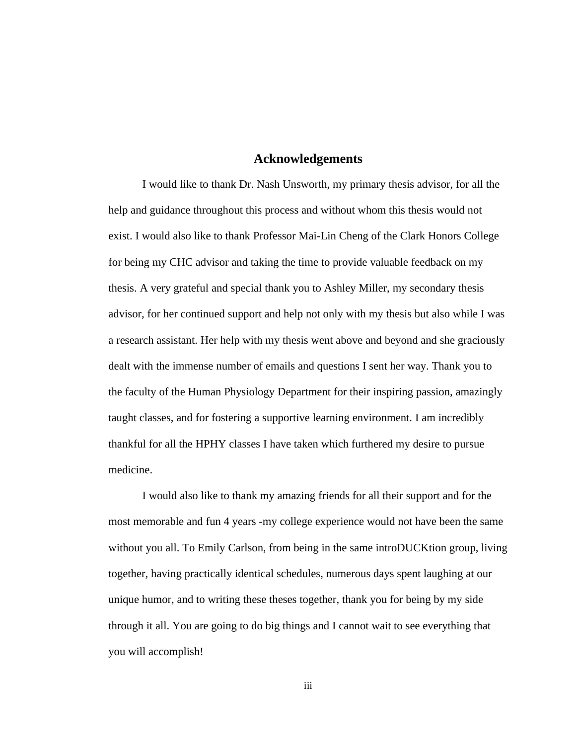#### **Acknowledgements**

I would like to thank Dr. Nash Unsworth, my primary thesis advisor, for all the help and guidance throughout this process and without whom this thesis would not exist. I would also like to thank Professor Mai-Lin Cheng of the Clark Honors College for being my CHC advisor and taking the time to provide valuable feedback on my thesis. A very grateful and special thank you to Ashley Miller, my secondary thesis advisor, for her continued support and help not only with my thesis but also while I was a research assistant. Her help with my thesis went above and beyond and she graciously dealt with the immense number of emails and questions I sent her way. Thank you to the faculty of the Human Physiology Department for their inspiring passion, amazingly taught classes, and for fostering a supportive learning environment. I am incredibly thankful for all the HPHY classes I have taken which furthered my desire to pursue medicine.

I would also like to thank my amazing friends for all their support and for the most memorable and fun 4 years -my college experience would not have been the same without you all. To Emily Carlson, from being in the same introDUCKtion group, living together, having practically identical schedules, numerous days spent laughing at our unique humor, and to writing these theses together, thank you for being by my side through it all. You are going to do big things and I cannot wait to see everything that you will accomplish!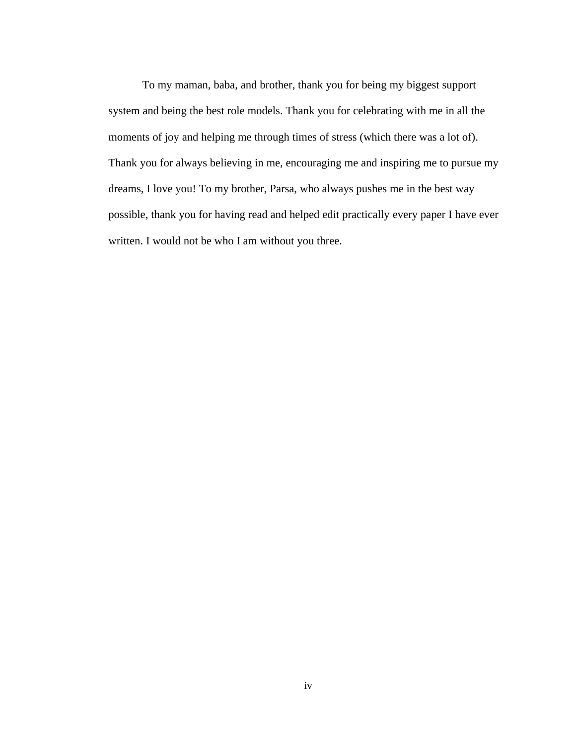To my maman, baba, and brother, thank you for being my biggest support system and being the best role models. Thank you for celebrating with me in all the moments of joy and helping me through times of stress (which there was a lot of). Thank you for always believing in me, encouraging me and inspiring me to pursue my dreams, I love you! To my brother, Parsa, who always pushes me in the best way possible, thank you for having read and helped edit practically every paper I have ever written. I would not be who I am without you three.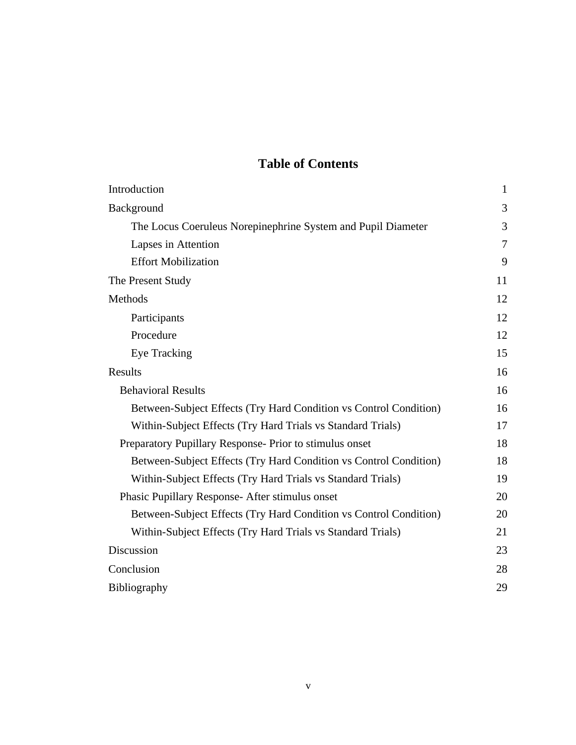# **Table of Contents**

| Introduction                                                      | $\mathbf{1}$ |
|-------------------------------------------------------------------|--------------|
| Background                                                        | 3            |
| The Locus Coeruleus Norepinephrine System and Pupil Diameter      | 3            |
| Lapses in Attention                                               | 7            |
| <b>Effort Mobilization</b>                                        | 9            |
| The Present Study                                                 | 11           |
| <b>Methods</b>                                                    | 12           |
| Participants                                                      | 12           |
| Procedure                                                         | 12           |
| <b>Eye Tracking</b>                                               | 15           |
| <b>Results</b>                                                    | 16           |
| <b>Behavioral Results</b>                                         | 16           |
| Between-Subject Effects (Try Hard Condition vs Control Condition) | 16           |
| Within-Subject Effects (Try Hard Trials vs Standard Trials)       | 17           |
| Preparatory Pupillary Response- Prior to stimulus onset           | 18           |
| Between-Subject Effects (Try Hard Condition vs Control Condition) | 18           |
| Within-Subject Effects (Try Hard Trials vs Standard Trials)       | 19           |
| Phasic Pupillary Response- After stimulus onset                   | 20           |
| Between-Subject Effects (Try Hard Condition vs Control Condition) | 20           |
| Within-Subject Effects (Try Hard Trials vs Standard Trials)       | 21           |
| Discussion                                                        | 23           |
| Conclusion                                                        | 28           |
| <b>Bibliography</b>                                               | 29           |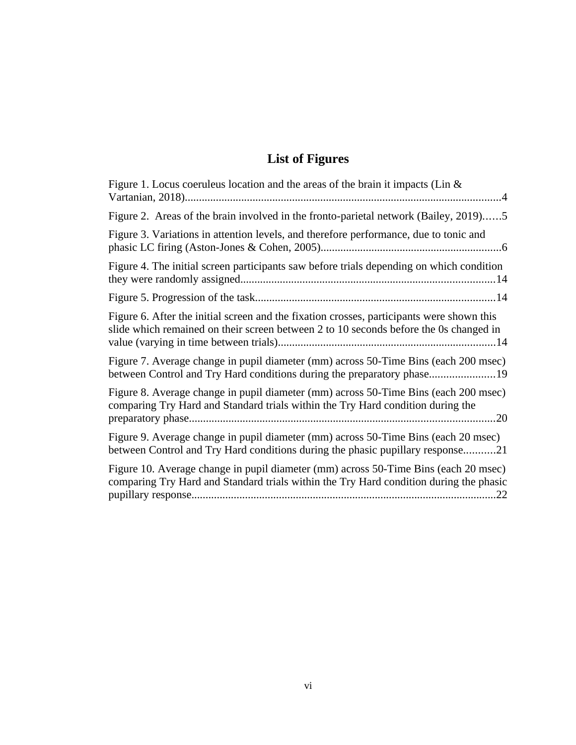# **List of Figures**

| Figure 1. Locus coeruleus location and the areas of the brain it impacts (Lin &                                                                                                      |
|--------------------------------------------------------------------------------------------------------------------------------------------------------------------------------------|
| Figure 2. Areas of the brain involved in the fronto-parietal network (Bailey, 2019)5                                                                                                 |
| Figure 3. Variations in attention levels, and therefore performance, due to tonic and                                                                                                |
| Figure 4. The initial screen participants saw before trials depending on which condition                                                                                             |
|                                                                                                                                                                                      |
| Figure 6. After the initial screen and the fixation crosses, participants were shown this<br>slide which remained on their screen between 2 to 10 seconds before the 0s changed in   |
| Figure 7. Average change in pupil diameter (mm) across 50-Time Bins (each 200 msec)<br>between Control and Try Hard conditions during the preparatory phase19                        |
| Figure 8. Average change in pupil diameter (mm) across 50-Time Bins (each 200 msec)<br>comparing Try Hard and Standard trials within the Try Hard condition during the               |
| Figure 9. Average change in pupil diameter (mm) across 50-Time Bins (each 20 msec)<br>between Control and Try Hard conditions during the phasic pupillary response21                 |
| Figure 10. Average change in pupil diameter (mm) across 50-Time Bins (each 20 msec)<br>comparing Try Hard and Standard trials within the Try Hard condition during the phasic<br>.22 |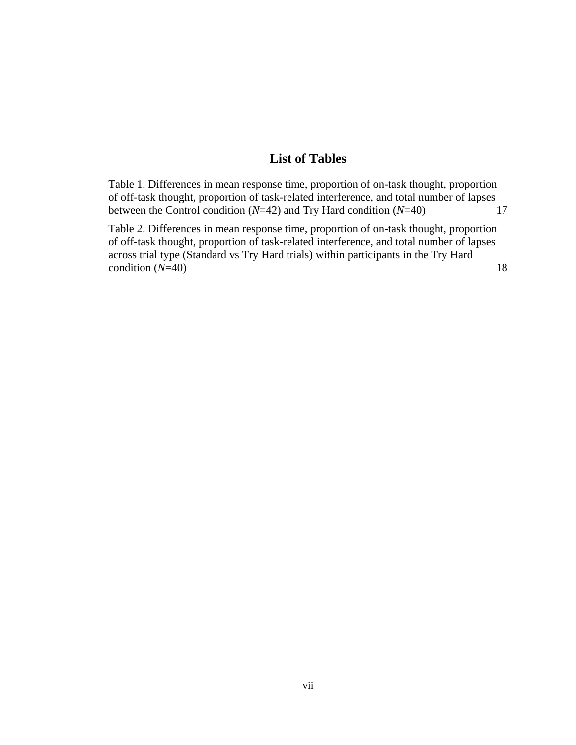# **List of Tables**

[Table 1. Differences in mean response time, proportion of on-task thought, proportion](#page-23-0)  [of off-task thought, proportion of task-related interference, and total number of lapses](#page-23-0)  [between the Control condition \(](#page-23-0)*N*=42) and Try Hard condition (*N*=40) 17

[Table 2. Differences in mean response time, proportion of on-task thought, proportion](#page-24-0)  [of off-task thought, proportion of task-related interference, and total number of lapses](#page-24-0)  across trial type (Standard vs Try Hard trials) within participants in the Try Hard  $\text{condition (}N=40\text{)}$  $\text{condition (}N=40\text{)}$  $\text{condition (}N=40\text{)}$  18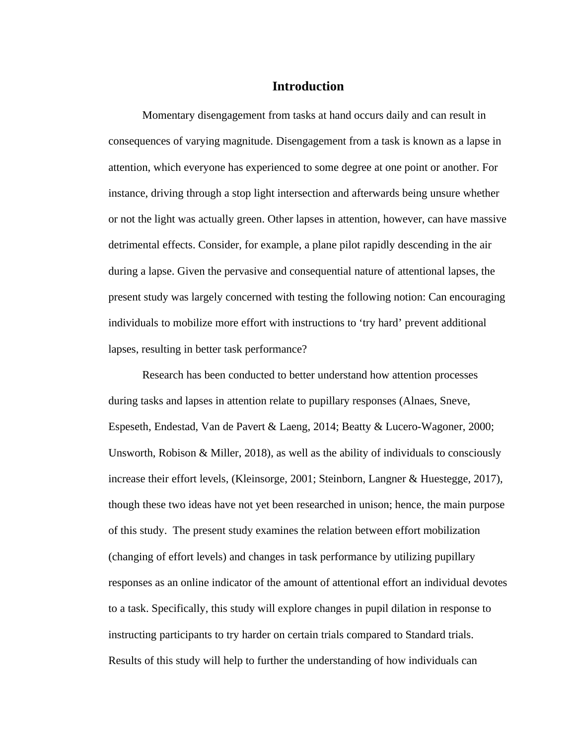# **Introduction**

Momentary disengagement from tasks at hand occurs daily and can result in consequences of varying magnitude. Disengagement from a task is known as a lapse in attention, which everyone has experienced to some degree at one point or another. For instance, driving through a stop light intersection and afterwards being unsure whether or not the light was actually green. Other lapses in attention, however, can have massive detrimental effects. Consider, for example, a plane pilot rapidly descending in the air during a lapse. Given the pervasive and consequential nature of attentional lapses, the present study was largely concerned with testing the following notion: Can encouraging individuals to mobilize more effort with instructions to 'try hard' prevent additional lapses, resulting in better task performance?

Research has been conducted to better understand how attention processes during tasks and lapses in attention relate to pupillary responses (Alnaes, Sneve, Espeseth, Endestad, Van de Pavert & Laeng, 2014; Beatty & Lucero-Wagoner, 2000; Unsworth, Robison & Miller, 2018), as well as the ability of individuals to consciously increase their effort levels, (Kleinsorge, 2001; Steinborn, Langner & Huestegge, 2017), though these two ideas have not yet been researched in unison; hence, the main purpose of this study. The present study examines the relation between effort mobilization (changing of effort levels) and changes in task performance by utilizing pupillary responses as an online indicator of the amount of attentional effort an individual devotes to a task. Specifically, this study will explore changes in pupil dilation in response to instructing participants to try harder on certain trials compared to Standard trials. Results of this study will help to further the understanding of how individuals can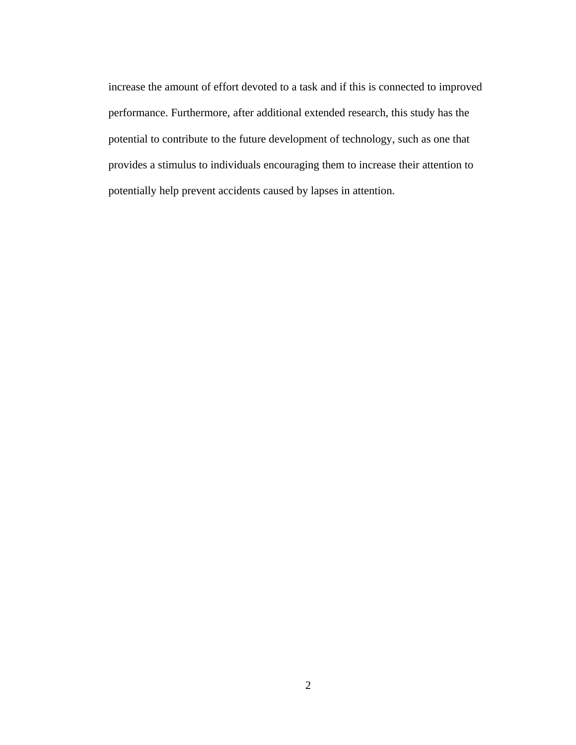increase the amount of effort devoted to a task and if this is connected to improved performance. Furthermore, after additional extended research, this study has the potential to contribute to the future development of technology, such as one that provides a stimulus to individuals encouraging them to increase their attention to potentially help prevent accidents caused by lapses in attention.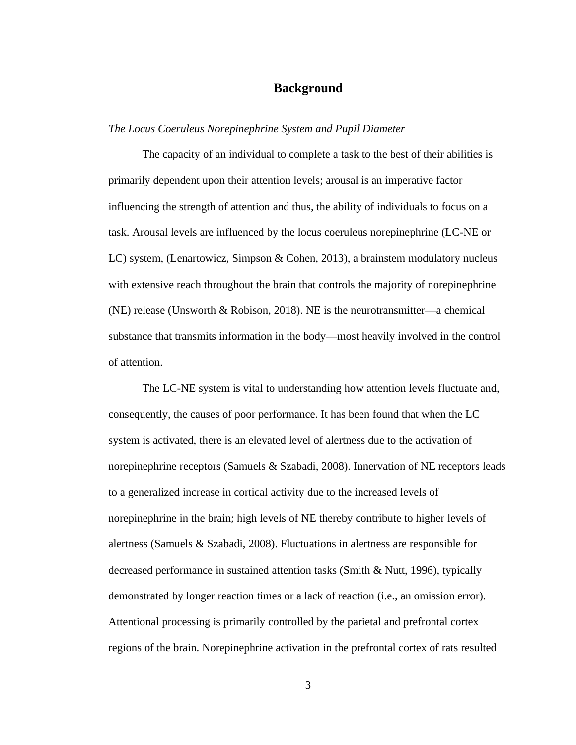# **Background**

#### *The Locus Coeruleus Norepinephrine System and Pupil Diameter*

The capacity of an individual to complete a task to the best of their abilities is primarily dependent upon their attention levels; arousal is an imperative factor influencing the strength of attention and thus, the ability of individuals to focus on a task. Arousal levels are influenced by the locus coeruleus norepinephrine (LC-NE or LC) system, (Lenartowicz, Simpson & Cohen, 2013), a brainstem modulatory nucleus with extensive reach throughout the brain that controls the majority of norepinephrine (NE) release (Unsworth & Robison, 2018). NE is the neurotransmitter—a chemical substance that transmits information in the body—most heavily involved in the control of attention.

The LC-NE system is vital to understanding how attention levels fluctuate and, consequently, the causes of poor performance. It has been found that when the LC system is activated, there is an elevated level of alertness due to the activation of norepinephrine receptors (Samuels & Szabadi, 2008). Innervation of NE receptors leads to a generalized increase in cortical activity due to the increased levels of norepinephrine in the brain; high levels of NE thereby contribute to higher levels of alertness (Samuels & Szabadi, 2008). Fluctuations in alertness are responsible for decreased performance in sustained attention tasks (Smith & Nutt, 1996), typically demonstrated by longer reaction times or a lack of reaction (i.e., an omission error). Attentional processing is primarily controlled by the parietal and prefrontal cortex regions of the brain. Norepinephrine activation in the prefrontal cortex of rats resulted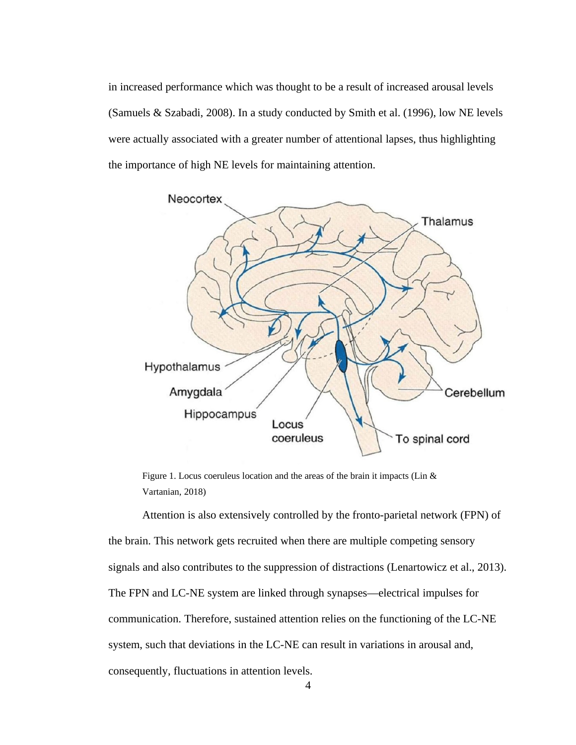in increased performance which was thought to be a result of increased arousal levels (Samuels & Szabadi, 2008). In a study conducted by Smith et al. (1996), low NE levels were actually associated with a greater number of attentional lapses, thus highlighting the importance of high NE levels for maintaining attention.



<span id="page-10-0"></span>Figure 1. Locus coeruleus location and the areas of the brain it impacts (Lin & Vartanian, 2018)

Attention is also extensively controlled by the fronto-parietal network (FPN) of the brain. This network gets recruited when there are multiple competing sensory signals and also contributes to the suppression of distractions (Lenartowicz et al., 2013). The FPN and LC-NE system are linked through synapses—electrical impulses for communication. Therefore, sustained attention relies on the functioning of the LC-NE system, such that deviations in the LC-NE can result in variations in arousal and, consequently, fluctuations in attention levels.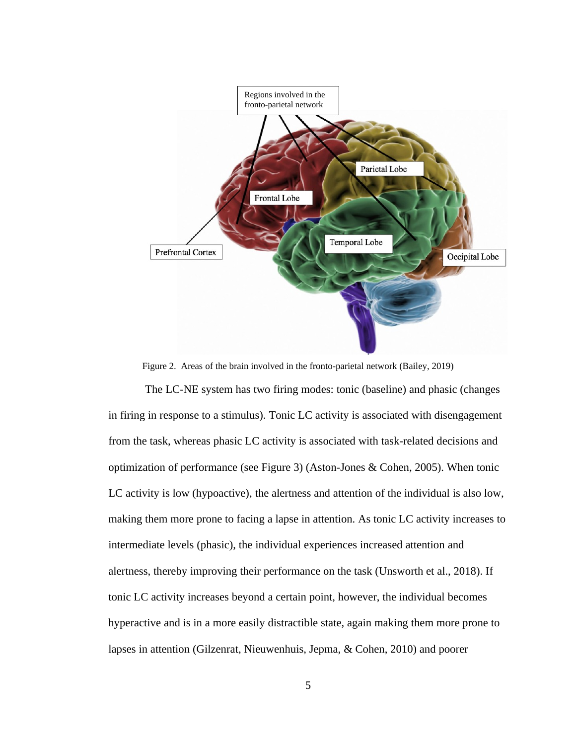

<span id="page-11-0"></span>Figure 2. Areas of the brain involved in the fronto-parietal network (Bailey, 2019)

 The LC-NE system has two firing modes: tonic (baseline) and phasic (changes in firing in response to a stimulus). Tonic LC activity is associated with disengagement from the task, whereas phasic LC activity is associated with task-related decisions and optimization of performance (see Figure 3) (Aston-Jones & Cohen, 2005). When tonic LC activity is low (hypoactive), the alertness and attention of the individual is also low, making them more prone to facing a lapse in attention. As tonic LC activity increases to intermediate levels (phasic), the individual experiences increased attention and alertness, thereby improving their performance on the task (Unsworth et al., 2018). If tonic LC activity increases beyond a certain point, however, the individual becomes hyperactive and is in a more easily distractible state, again making them more prone to lapses in attention (Gilzenrat, Nieuwenhuis, Jepma, & Cohen, 2010) and poorer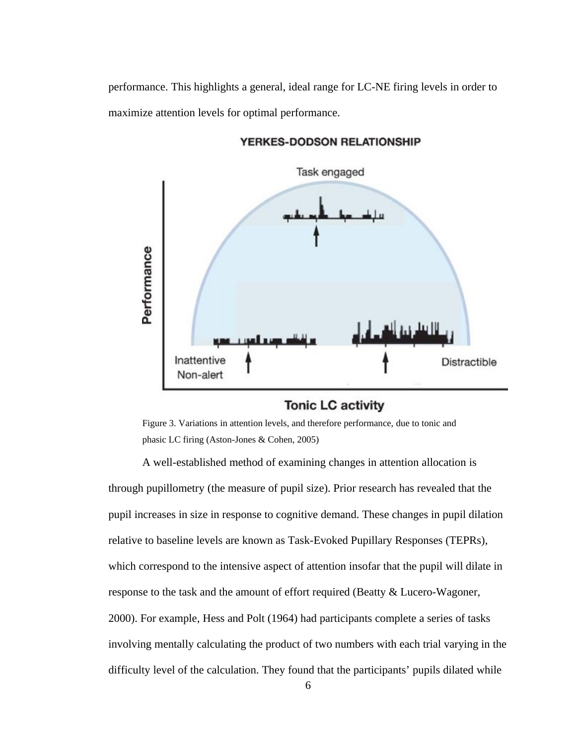performance. This highlights a general, ideal range for LC-NE firing levels in order to maximize attention levels for optimal performance.



YERKES-DODSON RELATIONSHIP

# **Tonic LC activity**

<span id="page-12-0"></span>Figure 3. Variations in attention levels, and therefore performance, due to tonic and phasic LC firing (Aston-Jones & Cohen, 2005)

A well-established method of examining changes in attention allocation is through pupillometry (the measure of pupil size). Prior research has revealed that the pupil increases in size in response to cognitive demand. These changes in pupil dilation relative to baseline levels are known as Task-Evoked Pupillary Responses (TEPRs), which correspond to the intensive aspect of attention insofar that the pupil will dilate in response to the task and the amount of effort required (Beatty & Lucero-Wagoner, 2000). For example, Hess and Polt (1964) had participants complete a series of tasks involving mentally calculating the product of two numbers with each trial varying in the difficulty level of the calculation. They found that the participants' pupils dilated while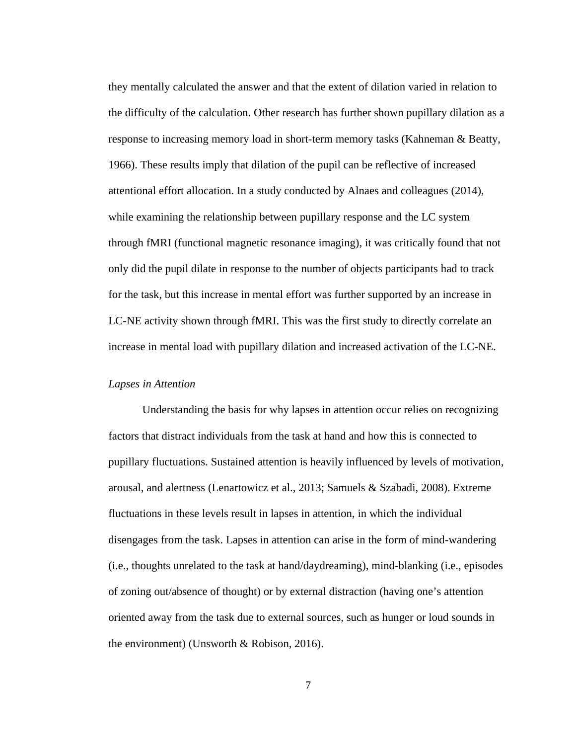they mentally calculated the answer and that the extent of dilation varied in relation to the difficulty of the calculation. Other research has further shown pupillary dilation as a response to increasing memory load in short-term memory tasks (Kahneman & Beatty, 1966). These results imply that dilation of the pupil can be reflective of increased attentional effort allocation. In a study conducted by Alnaes and colleagues (2014), while examining the relationship between pupillary response and the LC system through fMRI (functional magnetic resonance imaging), it was critically found that not only did the pupil dilate in response to the number of objects participants had to track for the task, but this increase in mental effort was further supported by an increase in LC-NE activity shown through fMRI. This was the first study to directly correlate an increase in mental load with pupillary dilation and increased activation of the LC-NE.

#### *Lapses in Attention*

Understanding the basis for why lapses in attention occur relies on recognizing factors that distract individuals from the task at hand and how this is connected to pupillary fluctuations. Sustained attention is heavily influenced by levels of motivation, arousal, and alertness (Lenartowicz et al., 2013; Samuels & Szabadi, 2008). Extreme fluctuations in these levels result in lapses in attention, in which the individual disengages from the task. Lapses in attention can arise in the form of mind-wandering (i.e., thoughts unrelated to the task at hand/daydreaming), mind-blanking (i.e., episodes of zoning out/absence of thought) or by external distraction (having one's attention oriented away from the task due to external sources, such as hunger or loud sounds in the environment) (Unsworth & Robison, 2016).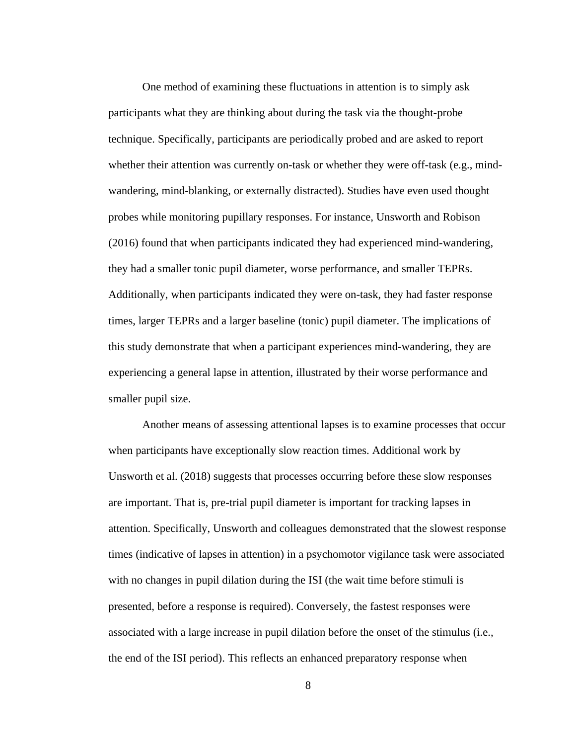One method of examining these fluctuations in attention is to simply ask participants what they are thinking about during the task via the thought-probe technique. Specifically, participants are periodically probed and are asked to report whether their attention was currently on-task or whether they were off-task (e.g., mindwandering, mind-blanking, or externally distracted). Studies have even used thought probes while monitoring pupillary responses. For instance, Unsworth and Robison (2016) found that when participants indicated they had experienced mind-wandering, they had a smaller tonic pupil diameter, worse performance, and smaller TEPRs. Additionally, when participants indicated they were on-task, they had faster response times, larger TEPRs and a larger baseline (tonic) pupil diameter. The implications of this study demonstrate that when a participant experiences mind-wandering, they are experiencing a general lapse in attention, illustrated by their worse performance and smaller pupil size.

Another means of assessing attentional lapses is to examine processes that occur when participants have exceptionally slow reaction times. Additional work by Unsworth et al. (2018) suggests that processes occurring before these slow responses are important. That is, pre-trial pupil diameter is important for tracking lapses in attention. Specifically, Unsworth and colleagues demonstrated that the slowest response times (indicative of lapses in attention) in a psychomotor vigilance task were associated with no changes in pupil dilation during the ISI (the wait time before stimuli is presented, before a response is required). Conversely, the fastest responses were associated with a large increase in pupil dilation before the onset of the stimulus (i.e., the end of the ISI period). This reflects an enhanced preparatory response when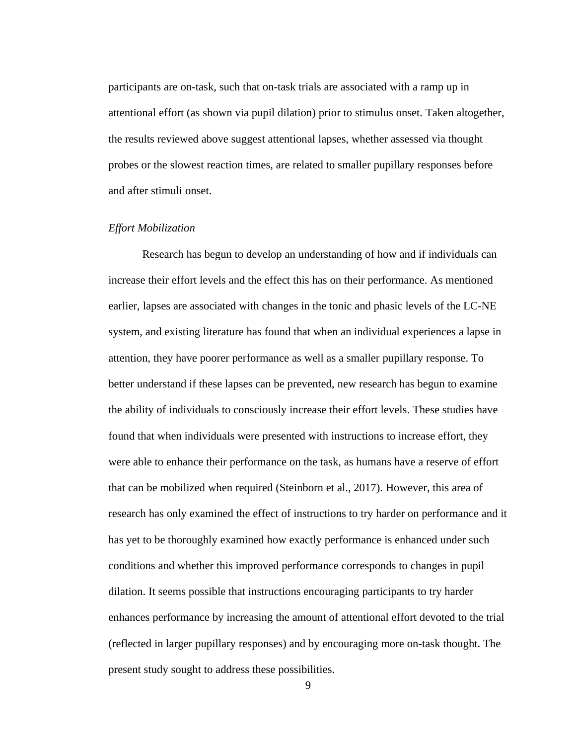participants are on-task, such that on-task trials are associated with a ramp up in attentional effort (as shown via pupil dilation) prior to stimulus onset. Taken altogether, the results reviewed above suggest attentional lapses, whether assessed via thought probes or the slowest reaction times, are related to smaller pupillary responses before and after stimuli onset.

#### *Effort Mobilization*

Research has begun to develop an understanding of how and if individuals can increase their effort levels and the effect this has on their performance. As mentioned earlier, lapses are associated with changes in the tonic and phasic levels of the LC-NE system, and existing literature has found that when an individual experiences a lapse in attention, they have poorer performance as well as a smaller pupillary response. To better understand if these lapses can be prevented, new research has begun to examine the ability of individuals to consciously increase their effort levels. These studies have found that when individuals were presented with instructions to increase effort, they were able to enhance their performance on the task, as humans have a reserve of effort that can be mobilized when required (Steinborn et al., 2017). However, this area of research has only examined the effect of instructions to try harder on performance and it has yet to be thoroughly examined how exactly performance is enhanced under such conditions and whether this improved performance corresponds to changes in pupil dilation. It seems possible that instructions encouraging participants to try harder enhances performance by increasing the amount of attentional effort devoted to the trial (reflected in larger pupillary responses) and by encouraging more on-task thought. The present study sought to address these possibilities.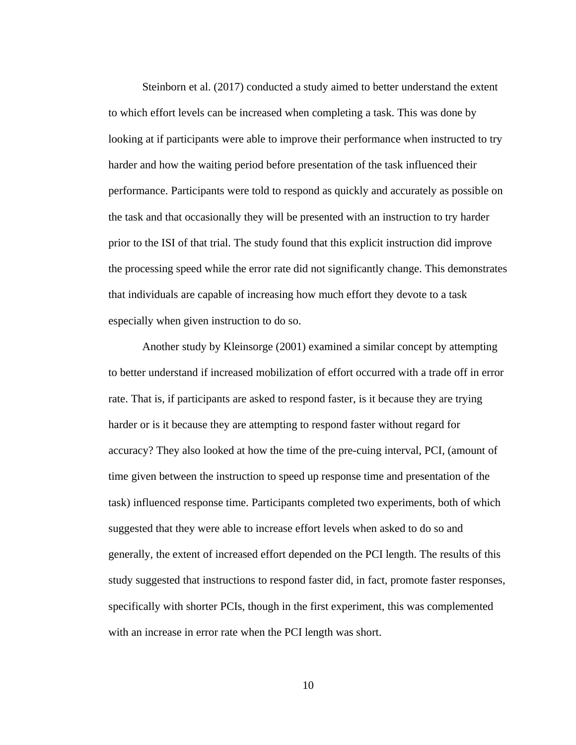Steinborn et al. (2017) conducted a study aimed to better understand the extent to which effort levels can be increased when completing a task. This was done by looking at if participants were able to improve their performance when instructed to try harder and how the waiting period before presentation of the task influenced their performance. Participants were told to respond as quickly and accurately as possible on the task and that occasionally they will be presented with an instruction to try harder prior to the ISI of that trial. The study found that this explicit instruction did improve the processing speed while the error rate did not significantly change. This demonstrates that individuals are capable of increasing how much effort they devote to a task especially when given instruction to do so.

Another study by Kleinsorge (2001) examined a similar concept by attempting to better understand if increased mobilization of effort occurred with a trade off in error rate. That is, if participants are asked to respond faster, is it because they are trying harder or is it because they are attempting to respond faster without regard for accuracy? They also looked at how the time of the pre-cuing interval, PCI, (amount of time given between the instruction to speed up response time and presentation of the task) influenced response time. Participants completed two experiments, both of which suggested that they were able to increase effort levels when asked to do so and generally, the extent of increased effort depended on the PCI length. The results of this study suggested that instructions to respond faster did, in fact, promote faster responses, specifically with shorter PCIs, though in the first experiment, this was complemented with an increase in error rate when the PCI length was short.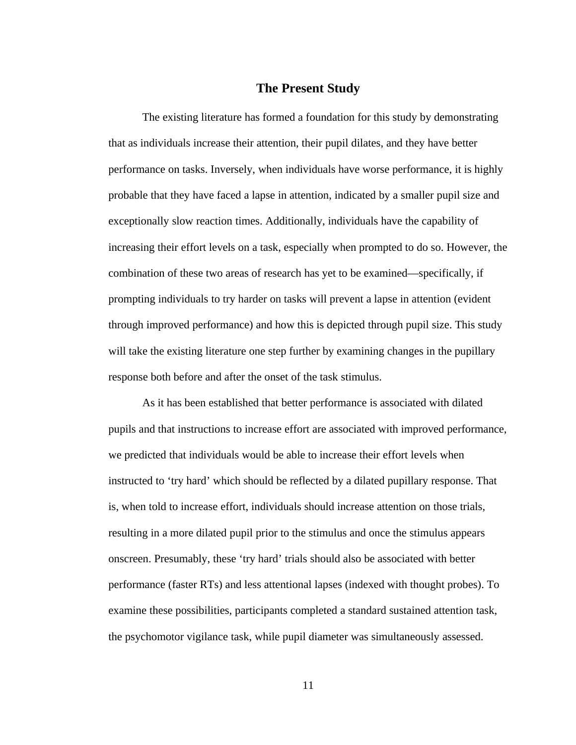#### **The Present Study**

The existing literature has formed a foundation for this study by demonstrating that as individuals increase their attention, their pupil dilates, and they have better performance on tasks. Inversely, when individuals have worse performance, it is highly probable that they have faced a lapse in attention, indicated by a smaller pupil size and exceptionally slow reaction times. Additionally, individuals have the capability of increasing their effort levels on a task, especially when prompted to do so. However, the combination of these two areas of research has yet to be examined—specifically, if prompting individuals to try harder on tasks will prevent a lapse in attention (evident through improved performance) and how this is depicted through pupil size. This study will take the existing literature one step further by examining changes in the pupillary response both before and after the onset of the task stimulus.

As it has been established that better performance is associated with dilated pupils and that instructions to increase effort are associated with improved performance, we predicted that individuals would be able to increase their effort levels when instructed to 'try hard' which should be reflected by a dilated pupillary response. That is, when told to increase effort, individuals should increase attention on those trials, resulting in a more dilated pupil prior to the stimulus and once the stimulus appears onscreen. Presumably, these 'try hard' trials should also be associated with better performance (faster RTs) and less attentional lapses (indexed with thought probes). To examine these possibilities, participants completed a standard sustained attention task, the psychomotor vigilance task, while pupil diameter was simultaneously assessed.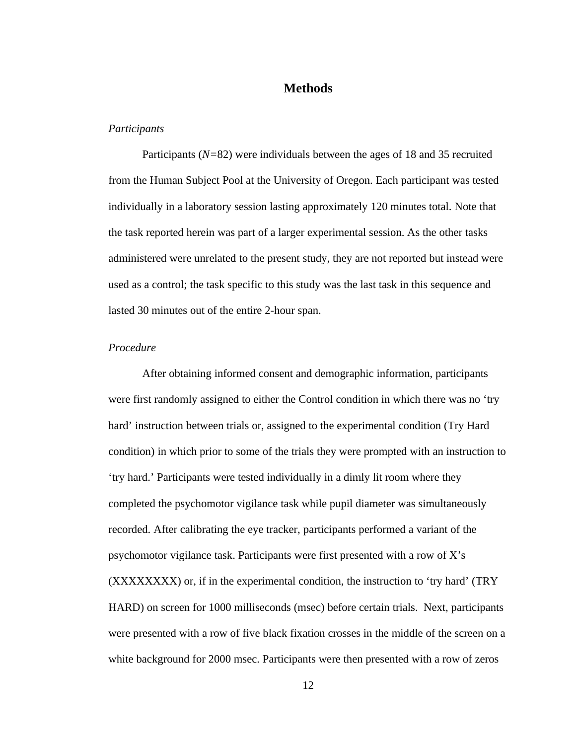# **Methods**

#### *Participants*

Participants (*N=*82) were individuals between the ages of 18 and 35 recruited from the Human Subject Pool at the University of Oregon. Each participant was tested individually in a laboratory session lasting approximately 120 minutes total. Note that the task reported herein was part of a larger experimental session. As the other tasks administered were unrelated to the present study, they are not reported but instead were used as a control; the task specific to this study was the last task in this sequence and lasted 30 minutes out of the entire 2-hour span.

#### *Procedure*

After obtaining informed consent and demographic information, participants were first randomly assigned to either the Control condition in which there was no 'try hard' instruction between trials or, assigned to the experimental condition (Try Hard condition) in which prior to some of the trials they were prompted with an instruction to 'try hard.' Participants were tested individually in a dimly lit room where they completed the psychomotor vigilance task while pupil diameter was simultaneously recorded. After calibrating the eye tracker, participants performed a variant of the psychomotor vigilance task. Participants were first presented with a row of X's (XXXXXXXX) or, if in the experimental condition, the instruction to 'try hard' (TRY HARD) on screen for 1000 milliseconds (msec) before certain trials. Next, participants were presented with a row of five black fixation crosses in the middle of the screen on a white background for 2000 msec. Participants were then presented with a row of zeros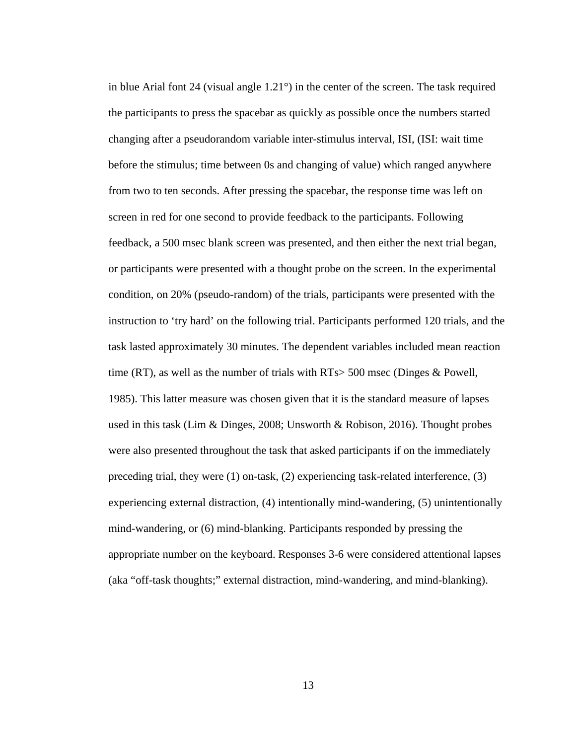in blue Arial font 24 (visual angle 1.21°) in the center of the screen. The task required the participants to press the spacebar as quickly as possible once the numbers started changing after a pseudorandom variable inter-stimulus interval, ISI, (ISI: wait time before the stimulus; time between 0s and changing of value) which ranged anywhere from two to ten seconds. After pressing the spacebar, the response time was left on screen in red for one second to provide feedback to the participants. Following feedback, a 500 msec blank screen was presented, and then either the next trial began, or participants were presented with a thought probe on the screen. In the experimental condition, on 20% (pseudo-random) of the trials, participants were presented with the instruction to 'try hard' on the following trial. Participants performed 120 trials, and the task lasted approximately 30 minutes. The dependent variables included mean reaction time (RT), as well as the number of trials with RTs> 500 msec (Dinges & Powell, 1985). This latter measure was chosen given that it is the standard measure of lapses used in this task (Lim & Dinges, 2008; Unsworth & Robison, 2016). Thought probes were also presented throughout the task that asked participants if on the immediately preceding trial, they were (1) on-task, (2) experiencing task-related interference, (3) experiencing external distraction, (4) intentionally mind-wandering, (5) unintentionally mind-wandering, or (6) mind-blanking. Participants responded by pressing the appropriate number on the keyboard. Responses 3-6 were considered attentional lapses (aka "off-task thoughts;" external distraction, mind-wandering, and mind-blanking).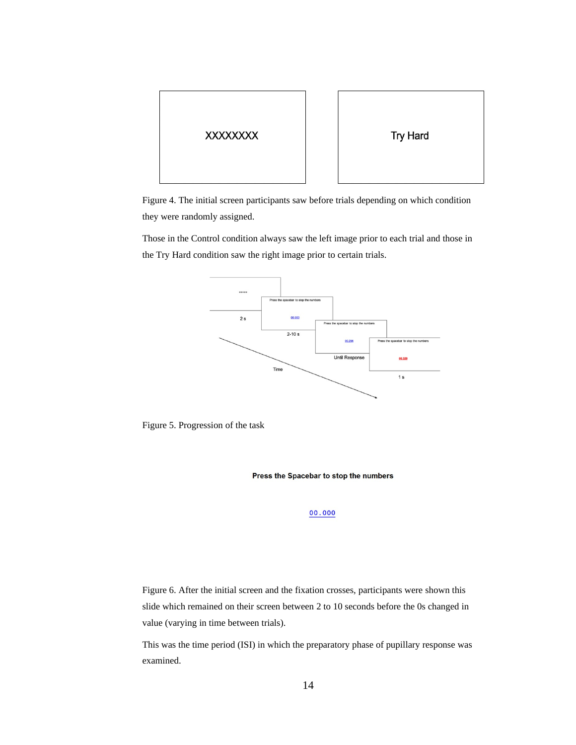

<span id="page-20-0"></span>Figure 4. The initial screen participants saw before trials depending on which condition they were randomly assigned.

Those in the Control condition always saw the left image prior to each trial and those in the Try Hard condition saw the right image prior to certain trials.



<span id="page-20-1"></span>Figure 5. Progression of the task

Press the Spacebar to stop the numbers

00.000

<span id="page-20-2"></span>Figure 6. After the initial screen and the fixation crosses, participants were shown this slide which remained on their screen between 2 to 10 seconds before the 0s changed in value (varying in time between trials).

This was the time period (ISI) in which the preparatory phase of pupillary response was examined.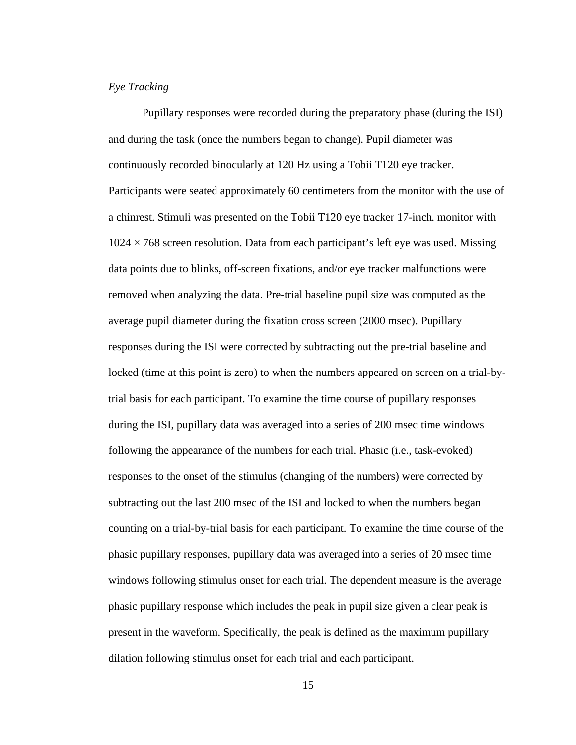## *Eye Tracking*

Pupillary responses were recorded during the preparatory phase (during the ISI) and during the task (once the numbers began to change). Pupil diameter was continuously recorded binocularly at 120 Hz using a Tobii T120 eye tracker. Participants were seated approximately 60 centimeters from the monitor with the use of a chinrest. Stimuli was presented on the Tobii T120 eye tracker 17-inch. monitor with  $1024 \times 768$  screen resolution. Data from each participant's left eye was used. Missing data points due to blinks, off-screen fixations, and/or eye tracker malfunctions were removed when analyzing the data. Pre-trial baseline pupil size was computed as the average pupil diameter during the fixation cross screen (2000 msec). Pupillary responses during the ISI were corrected by subtracting out the pre-trial baseline and locked (time at this point is zero) to when the numbers appeared on screen on a trial-bytrial basis for each participant. To examine the time course of pupillary responses during the ISI, pupillary data was averaged into a series of 200 msec time windows following the appearance of the numbers for each trial. Phasic (i.e., task-evoked) responses to the onset of the stimulus (changing of the numbers) were corrected by subtracting out the last 200 msec of the ISI and locked to when the numbers began counting on a trial-by-trial basis for each participant. To examine the time course of the phasic pupillary responses, pupillary data was averaged into a series of 20 msec time windows following stimulus onset for each trial. The dependent measure is the average phasic pupillary response which includes the peak in pupil size given a clear peak is present in the waveform. Specifically, the peak is defined as the maximum pupillary dilation following stimulus onset for each trial and each participant.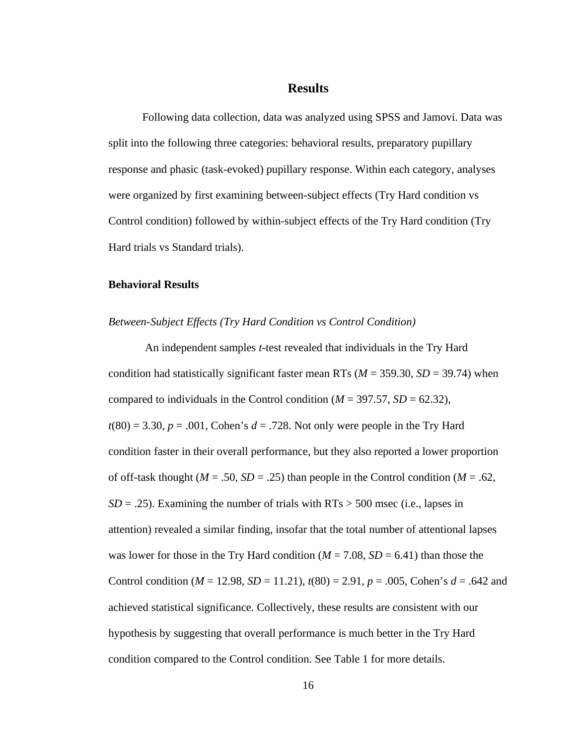#### **Results**

Following data collection, data was analyzed using SPSS and Jamovi. Data was split into the following three categories: behavioral results, preparatory pupillary response and phasic (task-evoked) pupillary response. Within each category, analyses were organized by first examining between-subject effects (Try Hard condition vs Control condition) followed by within-subject effects of the Try Hard condition (Try Hard trials vs Standard trials).

#### **Behavioral Results**

#### *Between-Subject Effects (Try Hard Condition vs Control Condition)*

 An independent samples *t*-test revealed that individuals in the Try Hard condition had statistically significant faster mean RTs (*M* = 359.30, *SD* = 39.74) when compared to individuals in the Control condition (*M* = 397.57, *SD* = 62.32), *t*(80) = 3.30, *p* = .001, Cohen's *d* = .728. Not only were people in the Try Hard condition faster in their overall performance, but they also reported a lower proportion of off-task thought (*M* = .50, *SD* = .25) than people in the Control condition (*M* = .62,  $SD = .25$ ). Examining the number of trials with  $RTs > 500$  msec (i.e., lapses in attention) revealed a similar finding, insofar that the total number of attentional lapses was lower for those in the Try Hard condition  $(M = 7.08, SD = 6.41)$  than those the Control condition (*M* = 12.98, *SD* = 11.21), *t*(80) = 2.91, *p* = .005, Cohen's *d* = .642 and achieved statistical significance. Collectively, these results are consistent with our hypothesis by suggesting that overall performance is much better in the Try Hard condition compared to the Control condition. See Table 1 for more details.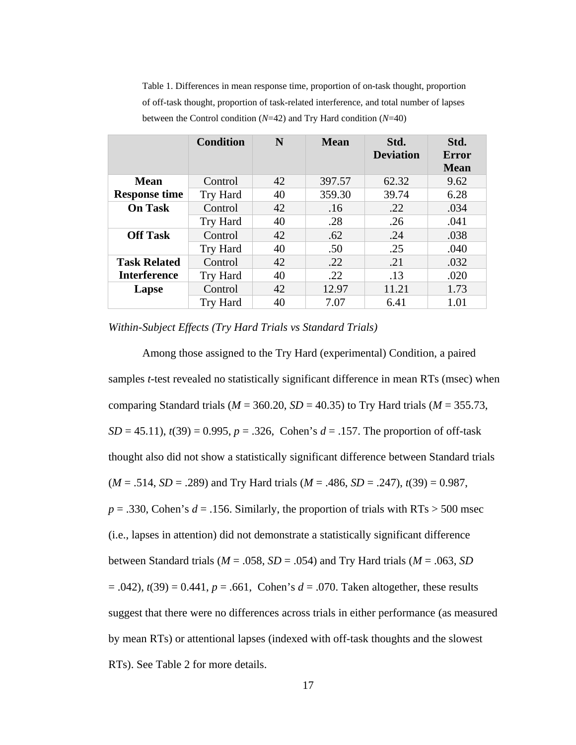|                                            | <b>Condition</b> | N  | <b>Mean</b> | Std.<br><b>Deviation</b> | Std.<br>Error<br><b>Mean</b> |
|--------------------------------------------|------------------|----|-------------|--------------------------|------------------------------|
| Mean<br><b>Response time</b>               | Control          | 42 | 397.57      | 62.32                    | 9.62                         |
|                                            | Try Hard         | 40 | 359.30      | 39.74                    | 6.28                         |
| <b>On Task</b>                             | Control          | 42 | .16         | .22                      | .034                         |
|                                            | Try Hard         | 40 | .28         | .26                      | .041                         |
| <b>Off Task</b>                            | Control          | 42 | .62         | .24                      | .038                         |
|                                            | Try Hard         | 40 | .50         | .25                      | .040                         |
| <b>Task Related</b><br><b>Interference</b> | Control          | 42 | .22         | .21                      | .032                         |
|                                            | Try Hard         | 40 | .22         | .13                      | .020                         |
| Lapse                                      | Control          | 42 | 12.97       | 11.21                    | 1.73                         |
|                                            | <b>Try Hard</b>  | 40 | 7.07        | 6.41                     | 1.01                         |

<span id="page-23-0"></span>Table 1. Differences in mean response time, proportion of on-task thought, proportion of off-task thought, proportion of task-related interference, and total number of lapses between the Control condition (*N*=42) and Try Hard condition (*N*=40)

*Within-Subject Effects (Try Hard Trials vs Standard Trials)* 

Among those assigned to the Try Hard (experimental) Condition, a paired samples *t*-test revealed no statistically significant difference in mean RTs (msec) when comparing Standard trials ( $M = 360.20$ ,  $SD = 40.35$ ) to Try Hard trials ( $M = 355.73$ , *SD* = 45.11), *t*(39) = 0.995, *p* = .326, Cohen's *d* = .157. The proportion of off-task thought also did not show a statistically significant difference between Standard trials (*M* = .514, *SD* = .289) and Try Hard trials (*M* = .486, *SD* = .247), *t*(39) = 0.987,  $p = .330$ , Cohen's  $d = .156$ . Similarly, the proportion of trials with RTs  $> 500$  msec (i.e., lapses in attention) did not demonstrate a statistically significant difference between Standard trials (*M* = .058, *SD* = .054) and Try Hard trials (*M* = .063, *SD* = .042), *t*(39) = 0.441, *p* = .661, Cohen's *d* = .070. Taken altogether, these results suggest that there were no differences across trials in either performance (as measured by mean RTs) or attentional lapses (indexed with off-task thoughts and the slowest RTs). See Table 2 for more details.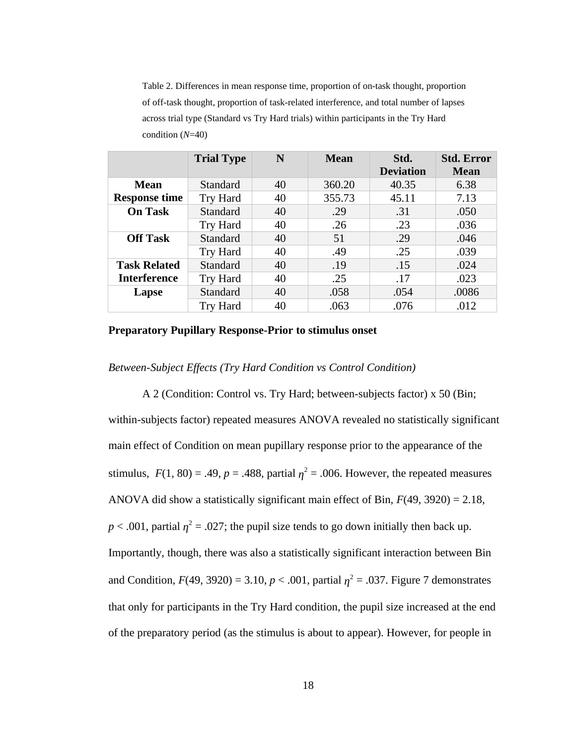<span id="page-24-0"></span>Table 2. Differences in mean response time, proportion of on-task thought, proportion of off-task thought, proportion of task-related interference, and total number of lapses across trial type (Standard vs Try Hard trials) within participants in the Try Hard condition (*N*=40)

|                      | <b>Trial Type</b> | N  | <b>Mean</b> | Std.<br><b>Deviation</b> | <b>Std. Error</b><br><b>Mean</b> |
|----------------------|-------------------|----|-------------|--------------------------|----------------------------------|
| Mean                 | Standard          | 40 | 360.20      | 40.35                    | 6.38                             |
| <b>Response time</b> | <b>Try Hard</b>   | 40 | 355.73      | 45.11                    | 7.13                             |
| <b>On Task</b>       | Standard          | 40 | .29         | .31                      | .050                             |
|                      | <b>Try Hard</b>   | 40 | .26         | .23                      | .036                             |
| <b>Off Task</b>      | Standard          | 40 | 51          | .29                      | .046                             |
|                      | Try Hard          | 40 | .49         | .25                      | .039                             |
| <b>Task Related</b>  | Standard          | 40 | .19         | .15                      | .024                             |
| <b>Interference</b>  | Try Hard          | 40 | .25         | .17                      | .023                             |
| Lapse                | Standard          | 40 | .058        | .054                     | .0086                            |
|                      | <b>Try Hard</b>   | 40 | .063        | .076                     | .012                             |

#### **Preparatory Pupillary Response-Prior to stimulus onset**

#### *Between-Subject Effects (Try Hard Condition vs Control Condition)*

A 2 (Condition: Control vs. Try Hard; between-subjects factor) x 50 (Bin; within-subjects factor) repeated measures ANOVA revealed no statistically significant main effect of Condition on mean pupillary response prior to the appearance of the stimulus,  $F(1, 80) = .49$ ,  $p = .488$ , partial  $\eta^2 = .006$ . However, the repeated measures ANOVA did show a statistically significant main effect of Bin, *F*(49, 3920) = 2.18,  $p < .001$ , partial  $\eta^2 = .027$ ; the pupil size tends to go down initially then back up. Importantly, though, there was also a statistically significant interaction between Bin and Condition,  $F(49, 3920) = 3.10$ ,  $p < .001$ , partial  $\eta^2 = .037$ . Figure 7 demonstrates that only for participants in the Try Hard condition, the pupil size increased at the end of the preparatory period (as the stimulus is about to appear). However, for people in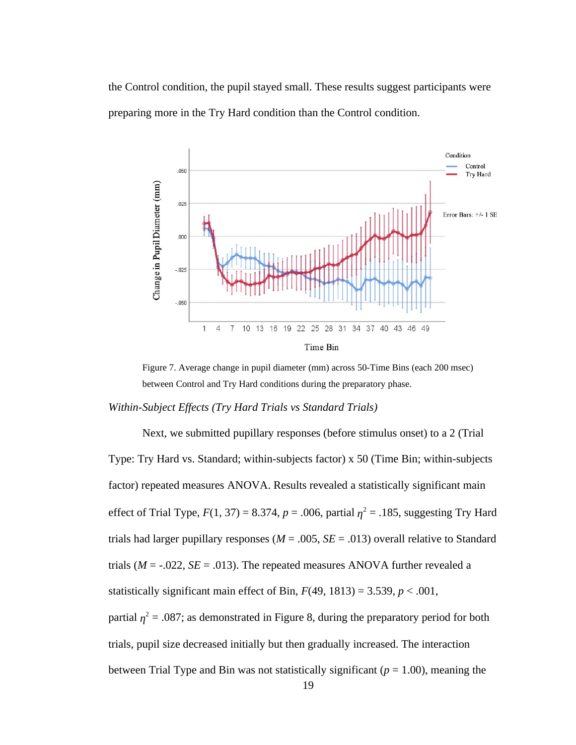the Control condition, the pupil stayed small. These results suggest participants were preparing more in the Try Hard condition than the Control condition.



<span id="page-25-0"></span>Figure 7. Average change in pupil diameter (mm) across 50-Time Bins (each 200 msec) between Control and Try Hard conditions during the preparatory phase.

*Within-Subject Effects (Try Hard Trials vs Standard Trials)*

Next, we submitted pupillary responses (before stimulus onset) to a 2 (Trial Type: Try Hard vs. Standard; within-subjects factor) x 50 (Time Bin; within-subjects factor) repeated measures ANOVA. Results revealed a statistically significant main effect of Trial Type,  $F(1, 37) = 8.374$ ,  $p = .006$ , partial  $\eta^2 = .185$ , suggesting Try Hard trials had larger pupillary responses (*M* = .005, *SE* = .013) overall relative to Standard trials ( $M = -0.022$ ,  $SE = 0.013$ ). The repeated measures ANOVA further revealed a statistically significant main effect of Bin, *F*(49, 1813) = 3.539, *p* < .001, partial  $\eta^2$  = .087; as demonstrated in Figure 8, during the preparatory period for both trials, pupil size decreased initially but then gradually increased. The interaction between Trial Type and Bin was not statistically significant (*p* = 1.00), meaning the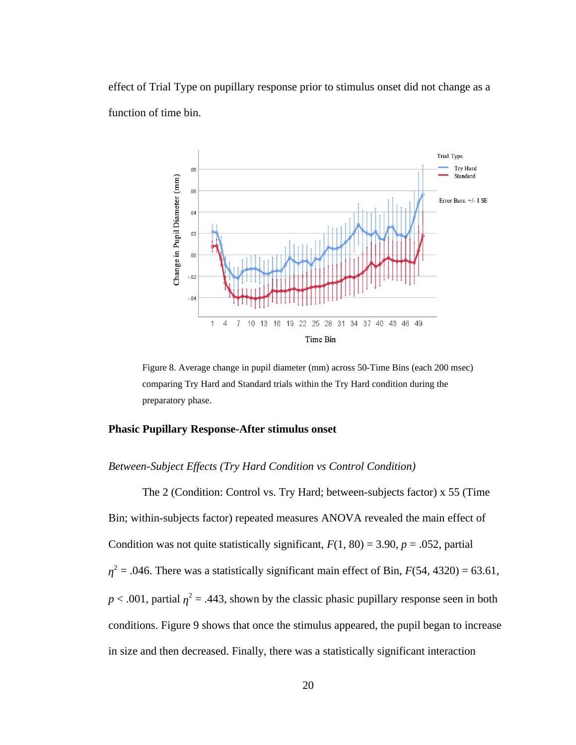effect of Trial Type on pupillary response prior to stimulus onset did not change as a function of time bin.



<span id="page-26-0"></span>Figure 8. Average change in pupil diameter (mm) across 50-Time Bins (each 200 msec) comparing Try Hard and Standard trials within the Try Hard condition during the preparatory phase.

#### **Phasic Pupillary Response-After stimulus onset**

#### *Between-Subject Effects (Try Hard Condition vs Control Condition)*

The 2 (Condition: Control vs. Try Hard; between-subjects factor) x 55 (Time Bin; within-subjects factor) repeated measures ANOVA revealed the main effect of Condition was not quite statistically significant,  $F(1, 80) = 3.90$ ,  $p = .052$ , partial  $\eta^2$  = .046. There was a statistically significant main effect of Bin, *F*(54, 4320) = 63.61,  $p < .001$ , partial  $\eta^2 = .443$ , shown by the classic phasic pupillary response seen in both conditions. Figure 9 shows that once the stimulus appeared, the pupil began to increase in size and then decreased. Finally, there was a statistically significant interaction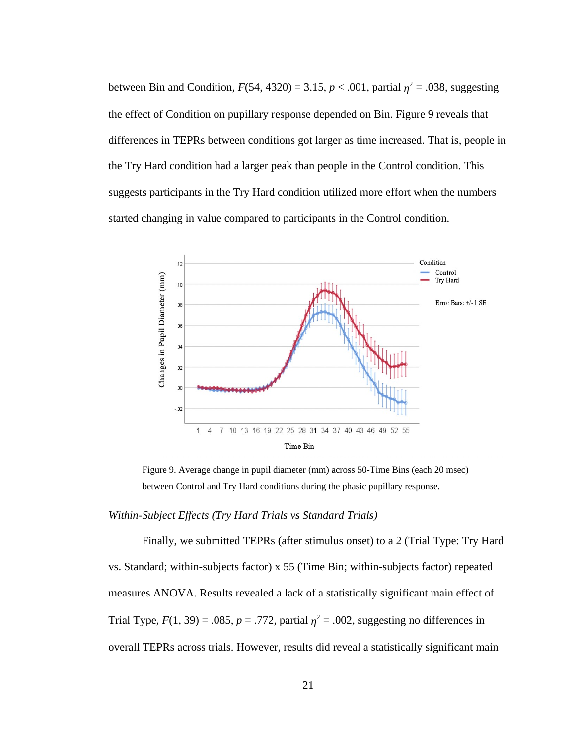between Bin and Condition,  $F(54, 4320) = 3.15$ ,  $p < .001$ , partial  $\eta^2 = .038$ , suggesting the effect of Condition on pupillary response depended on Bin. Figure 9 reveals that differences in TEPRs between conditions got larger as time increased. That is, people in the Try Hard condition had a larger peak than people in the Control condition. This suggests participants in the Try Hard condition utilized more effort when the numbers started changing in value compared to participants in the Control condition.



<span id="page-27-0"></span>Figure 9. Average change in pupil diameter (mm) across 50-Time Bins (each 20 msec) between Control and Try Hard conditions during the phasic pupillary response.

#### *Within-Subject Effects (Try Hard Trials vs Standard Trials)*

Finally, we submitted TEPRs (after stimulus onset) to a 2 (Trial Type: Try Hard vs. Standard; within-subjects factor) x 55 (Time Bin; within-subjects factor) repeated measures ANOVA. Results revealed a lack of a statistically significant main effect of Trial Type,  $F(1, 39) = .085$ ,  $p = .772$ , partial  $\eta^2 = .002$ , suggesting no differences in overall TEPRs across trials. However, results did reveal a statistically significant main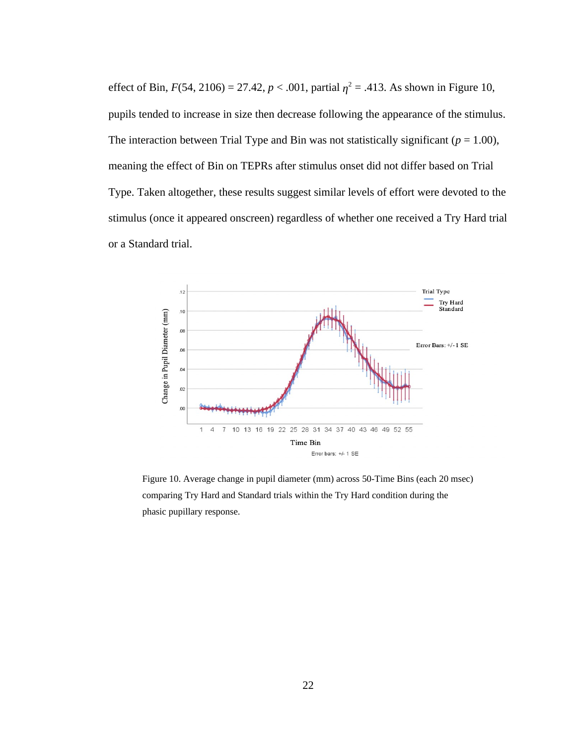effect of Bin, *F*(54, 2106) = 27.42, *p* < .001, partial  $\eta^2$  = .413. As shown in Figure 10, pupils tended to increase in size then decrease following the appearance of the stimulus. The interaction between Trial Type and Bin was not statistically significant ( $p = 1.00$ ), meaning the effect of Bin on TEPRs after stimulus onset did not differ based on Trial Type. Taken altogether, these results suggest similar levels of effort were devoted to the stimulus (once it appeared onscreen) regardless of whether one received a Try Hard trial or a Standard trial.



<span id="page-28-0"></span>Figure 10. Average change in pupil diameter (mm) across 50-Time Bins (each 20 msec) comparing Try Hard and Standard trials within the Try Hard condition during the phasic pupillary response.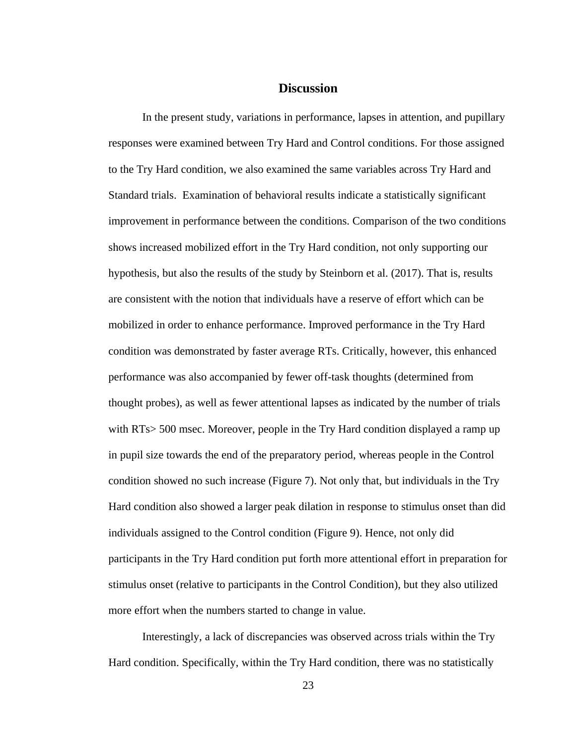# **Discussion**

In the present study, variations in performance, lapses in attention, and pupillary responses were examined between Try Hard and Control conditions. For those assigned to the Try Hard condition, we also examined the same variables across Try Hard and Standard trials. Examination of behavioral results indicate a statistically significant improvement in performance between the conditions. Comparison of the two conditions shows increased mobilized effort in the Try Hard condition, not only supporting our hypothesis, but also the results of the study by Steinborn et al. (2017). That is, results are consistent with the notion that individuals have a reserve of effort which can be mobilized in order to enhance performance. Improved performance in the Try Hard condition was demonstrated by faster average RTs. Critically, however, this enhanced performance was also accompanied by fewer off-task thoughts (determined from thought probes), as well as fewer attentional lapses as indicated by the number of trials with RTs> 500 msec. Moreover, people in the Try Hard condition displayed a ramp up in pupil size towards the end of the preparatory period, whereas people in the Control condition showed no such increase (Figure 7). Not only that, but individuals in the Try Hard condition also showed a larger peak dilation in response to stimulus onset than did individuals assigned to the Control condition (Figure 9). Hence, not only did participants in the Try Hard condition put forth more attentional effort in preparation for stimulus onset (relative to participants in the Control Condition), but they also utilized more effort when the numbers started to change in value.

Interestingly, a lack of discrepancies was observed across trials within the Try Hard condition. Specifically, within the Try Hard condition, there was no statistically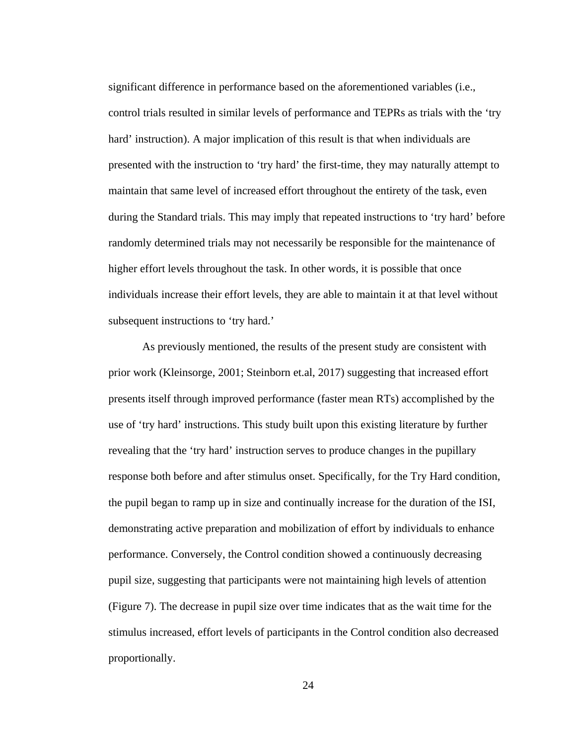significant difference in performance based on the aforementioned variables (i.e., control trials resulted in similar levels of performance and TEPRs as trials with the 'try hard' instruction). A major implication of this result is that when individuals are presented with the instruction to 'try hard' the first-time, they may naturally attempt to maintain that same level of increased effort throughout the entirety of the task, even during the Standard trials. This may imply that repeated instructions to 'try hard' before randomly determined trials may not necessarily be responsible for the maintenance of higher effort levels throughout the task. In other words, it is possible that once individuals increase their effort levels, they are able to maintain it at that level without subsequent instructions to 'try hard.'

As previously mentioned, the results of the present study are consistent with prior work (Kleinsorge, 2001; Steinborn et.al, 2017) suggesting that increased effort presents itself through improved performance (faster mean RTs) accomplished by the use of 'try hard' instructions. This study built upon this existing literature by further revealing that the 'try hard' instruction serves to produce changes in the pupillary response both before and after stimulus onset. Specifically, for the Try Hard condition, the pupil began to ramp up in size and continually increase for the duration of the ISI, demonstrating active preparation and mobilization of effort by individuals to enhance performance. Conversely, the Control condition showed a continuously decreasing pupil size, suggesting that participants were not maintaining high levels of attention (Figure 7). The decrease in pupil size over time indicates that as the wait time for the stimulus increased, effort levels of participants in the Control condition also decreased proportionally.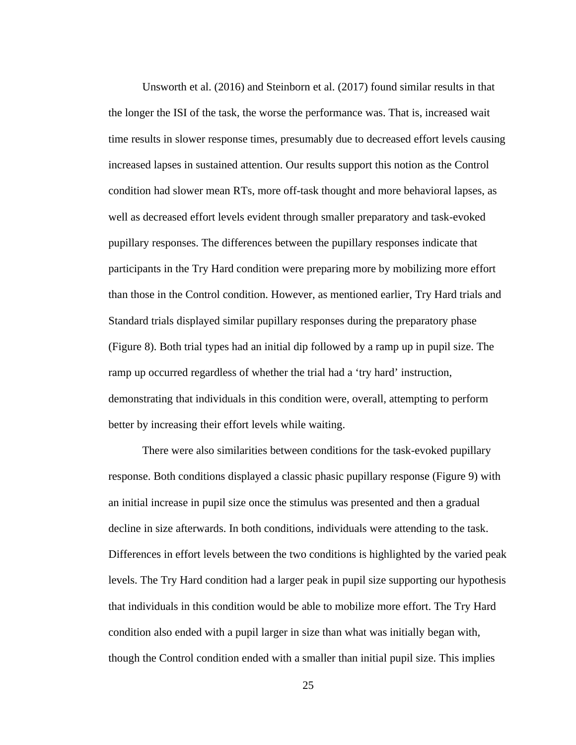Unsworth et al. (2016) and Steinborn et al. (2017) found similar results in that the longer the ISI of the task, the worse the performance was. That is, increased wait time results in slower response times, presumably due to decreased effort levels causing increased lapses in sustained attention. Our results support this notion as the Control condition had slower mean RTs, more off-task thought and more behavioral lapses, as well as decreased effort levels evident through smaller preparatory and task-evoked pupillary responses. The differences between the pupillary responses indicate that participants in the Try Hard condition were preparing more by mobilizing more effort than those in the Control condition. However, as mentioned earlier, Try Hard trials and Standard trials displayed similar pupillary responses during the preparatory phase (Figure 8). Both trial types had an initial dip followed by a ramp up in pupil size. The ramp up occurred regardless of whether the trial had a 'try hard' instruction, demonstrating that individuals in this condition were, overall, attempting to perform better by increasing their effort levels while waiting.

There were also similarities between conditions for the task-evoked pupillary response. Both conditions displayed a classic phasic pupillary response (Figure 9) with an initial increase in pupil size once the stimulus was presented and then a gradual decline in size afterwards. In both conditions, individuals were attending to the task. Differences in effort levels between the two conditions is highlighted by the varied peak levels. The Try Hard condition had a larger peak in pupil size supporting our hypothesis that individuals in this condition would be able to mobilize more effort. The Try Hard condition also ended with a pupil larger in size than what was initially began with, though the Control condition ended with a smaller than initial pupil size. This implies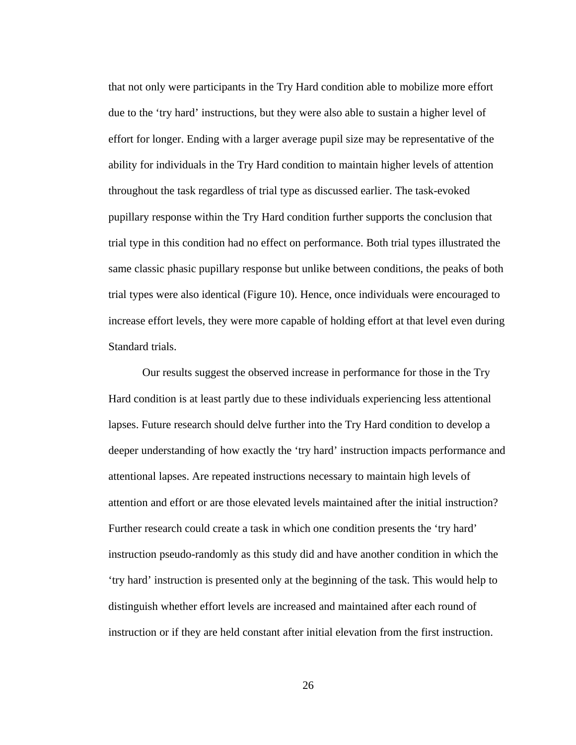that not only were participants in the Try Hard condition able to mobilize more effort due to the 'try hard' instructions, but they were also able to sustain a higher level of effort for longer. Ending with a larger average pupil size may be representative of the ability for individuals in the Try Hard condition to maintain higher levels of attention throughout the task regardless of trial type as discussed earlier. The task-evoked pupillary response within the Try Hard condition further supports the conclusion that trial type in this condition had no effect on performance. Both trial types illustrated the same classic phasic pupillary response but unlike between conditions, the peaks of both trial types were also identical (Figure 10). Hence, once individuals were encouraged to increase effort levels, they were more capable of holding effort at that level even during Standard trials.

Our results suggest the observed increase in performance for those in the Try Hard condition is at least partly due to these individuals experiencing less attentional lapses. Future research should delve further into the Try Hard condition to develop a deeper understanding of how exactly the 'try hard' instruction impacts performance and attentional lapses. Are repeated instructions necessary to maintain high levels of attention and effort or are those elevated levels maintained after the initial instruction? Further research could create a task in which one condition presents the 'try hard' instruction pseudo-randomly as this study did and have another condition in which the 'try hard' instruction is presented only at the beginning of the task. This would help to distinguish whether effort levels are increased and maintained after each round of instruction or if they are held constant after initial elevation from the first instruction.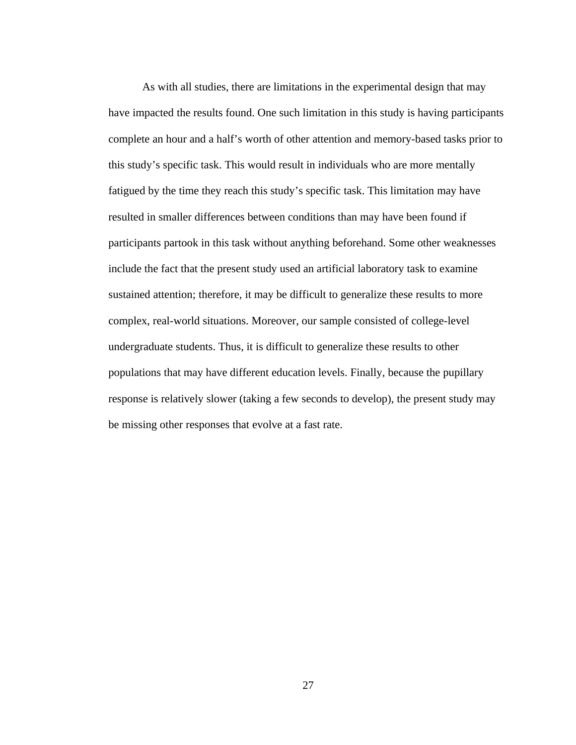As with all studies, there are limitations in the experimental design that may have impacted the results found. One such limitation in this study is having participants complete an hour and a half's worth of other attention and memory-based tasks prior to this study's specific task. This would result in individuals who are more mentally fatigued by the time they reach this study's specific task. This limitation may have resulted in smaller differences between conditions than may have been found if participants partook in this task without anything beforehand. Some other weaknesses include the fact that the present study used an artificial laboratory task to examine sustained attention; therefore, it may be difficult to generalize these results to more complex, real-world situations. Moreover, our sample consisted of college-level undergraduate students. Thus, it is difficult to generalize these results to other populations that may have different education levels. Finally, because the pupillary response is relatively slower (taking a few seconds to develop), the present study may be missing other responses that evolve at a fast rate.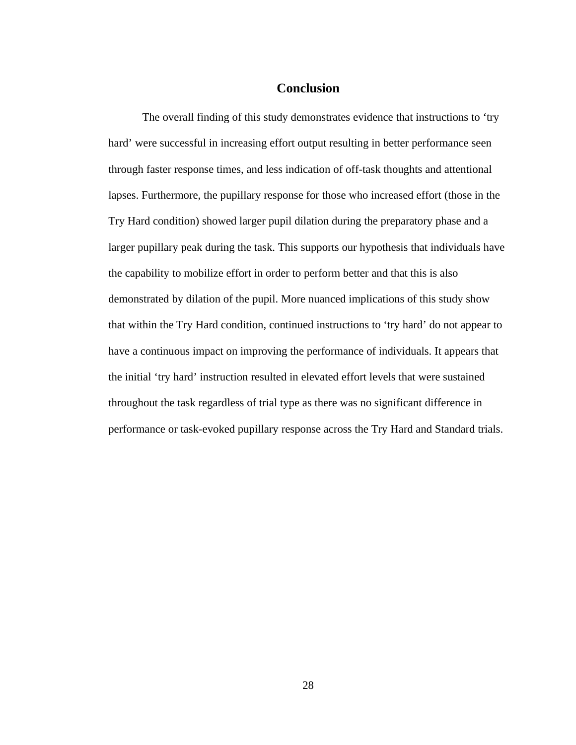# **Conclusion**

The overall finding of this study demonstrates evidence that instructions to 'try hard' were successful in increasing effort output resulting in better performance seen through faster response times, and less indication of off-task thoughts and attentional lapses. Furthermore, the pupillary response for those who increased effort (those in the Try Hard condition) showed larger pupil dilation during the preparatory phase and a larger pupillary peak during the task. This supports our hypothesis that individuals have the capability to mobilize effort in order to perform better and that this is also demonstrated by dilation of the pupil. More nuanced implications of this study show that within the Try Hard condition, continued instructions to 'try hard' do not appear to have a continuous impact on improving the performance of individuals. It appears that the initial 'try hard' instruction resulted in elevated effort levels that were sustained throughout the task regardless of trial type as there was no significant difference in performance or task-evoked pupillary response across the Try Hard and Standard trials.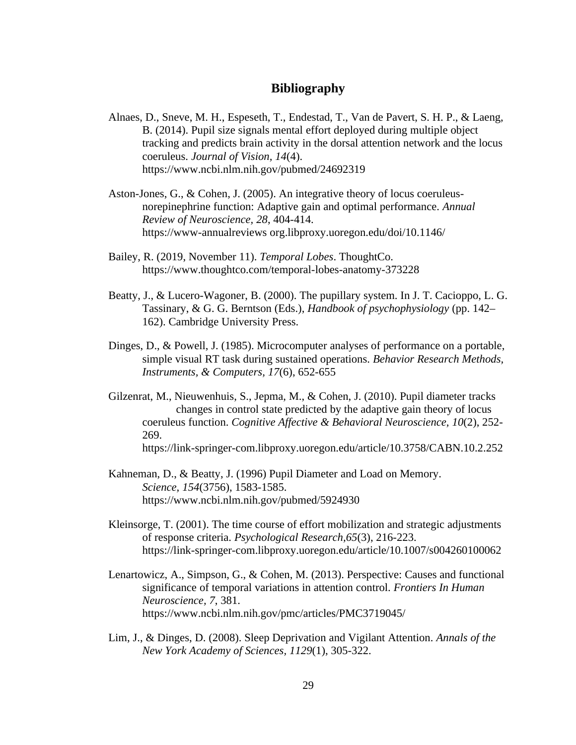# **Bibliography**

- Alnaes, D., Sneve, M. H., Espeseth, T., Endestad, T., Van de Pavert, S. H. P., & Laeng, B. (2014). Pupil size signals mental effort deployed during multiple object tracking and predicts brain activity in the dorsal attention network and the locus coeruleus. *Journal of Vision, 14*(4). https://www.ncbi.nlm.nih.gov/pubmed/24692319
- Aston-Jones, G., & Cohen, J. (2005). An integrative theory of locus coeruleusnorepinephrine function: Adaptive gain and optimal performance. *Annual Review of Neuroscience, 28*, 404-414. https://www-annualreviews org.libproxy.uoregon.edu/doi/10.1146/
- Bailey, R. (2019, November 11). *Temporal Lobes*. ThoughtCo. https://www.thoughtco.com/temporal-lobes-anatomy-373228
- Beatty, J., & Lucero-Wagoner, B. (2000). The pupillary system. In J. T. Cacioppo, L. G. Tassinary, & G. G. Berntson (Eds.), *Handbook of psychophysiology* (pp. 142– 162). Cambridge University Press.
- Dinges, D., & Powell, J. (1985). Microcomputer analyses of performance on a portable, simple visual RT task during sustained operations. *Behavior Research Methods, Instruments, & Computers, 17*(6), 652-655
- Gilzenrat, M., Nieuwenhuis, S., Jepma, M., & Cohen, J. (2010). Pupil diameter tracks changes in control state predicted by the adaptive gain theory of locus coeruleus function. *Cognitive Affective & Behavioral Neuroscience, 10*(2), 252- 269.

https://link-springer-com.libproxy.uoregon.edu/article/10.3758/CABN.10.2.252

- Kahneman, D., & Beatty, J. (1996) Pupil Diameter and Load on Memory. *Science, 154*(3756), 1583-1585. https://www.ncbi.nlm.nih.gov/pubmed/5924930
- Kleinsorge, T. (2001). The time course of effort mobilization and strategic adjustments of response criteria. *Psychological Research,65*(3), 216-223. https://link-springer-com.libproxy.uoregon.edu/article/10.1007/s004260100062
- Lenartowicz, A., Simpson, G., & Cohen, M. (2013). Perspective: Causes and functional significance of temporal variations in attention control. *Frontiers In Human Neuroscience, 7*, 381. https://www.ncbi.nlm.nih.gov/pmc/articles/PMC3719045/
- Lim, J., & Dinges, D. (2008). Sleep Deprivation and Vigilant Attention. *Annals of the New York Academy of Sciences, 1129*(1), 305-322.